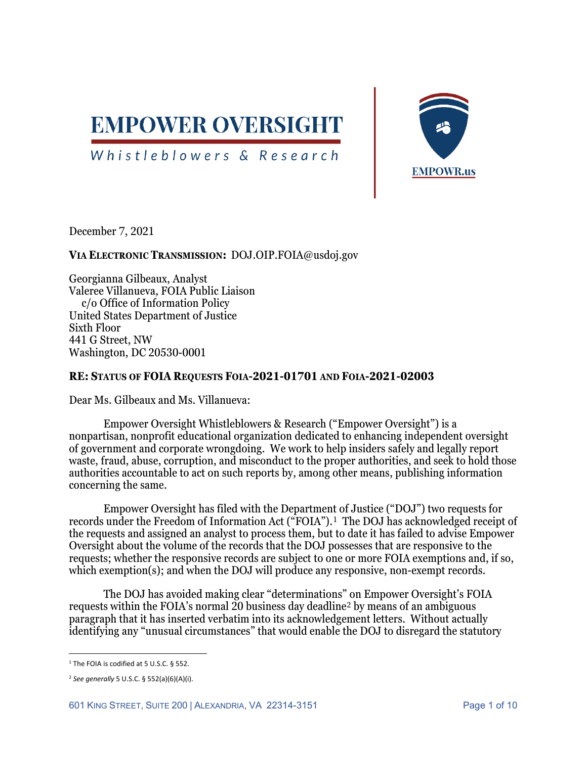

# Whistleblowers & Research



December 7, 2021

# **VIA ELECTRONIC TRANSMISSION:** DOJ.OIP.FOIA@usdoj.gov

Georgianna Gilbeaux, Analyst Valeree Villanueva, FOIA Public Liaison c/o Office of Information Policy United States Department of Justice Sixth Floor 441 G Street, NW Washington, DC 20530-0001

### **RE: STATUS OF FOIA REQUESTS FOIA-2021-01701 AND FOIA-2021-02003**

Dear Ms. Gilbeaux and Ms. Villanueva:

Empower Oversight Whistleblowers & Research ("Empower Oversight") is a nonpartisan, nonprofit educational organization dedicated to enhancing independent oversight of government and corporate wrongdoing. We work to help insiders safely and legally report waste, fraud, abuse, corruption, and misconduct to the proper authorities, and seek to hold those authorities accountable to act on such reports by, among other means, publishing information concerning the same.

Empower Oversight has filed with the Department of Justice ("DOJ") two requests for records under the Freedom of Information Act ("FOIA").[1](#page-0-0) The DOJ has acknowledged receipt of the requests and assigned an analyst to process them, but to date it has failed to advise Empower Oversight about the volume of the records that the DOJ possesses that are responsive to the requests; whether the responsive records are subject to one or more FOIA exemptions and, if so, which exemption(s); and when the DOJ will produce any responsive, non-exempt records.

The DOJ has avoided making clear "determinations" on Empower Oversight's FOIA requests within the FOIA's normal 20 business day deadline[2](#page-0-1) by means of an ambiguous paragraph that it has inserted verbatim into its acknowledgement letters. Without actually identifying any "unusual circumstances" that would enable the DOJ to disregard the statutory

<span id="page-0-0"></span><sup>&</sup>lt;sup>1</sup> The FOIA is codified at 5 U.S.C. § 552.

<span id="page-0-1"></span><sup>2</sup> *See generally* 5 U.S.C. § 552(a)(6)(A)(i).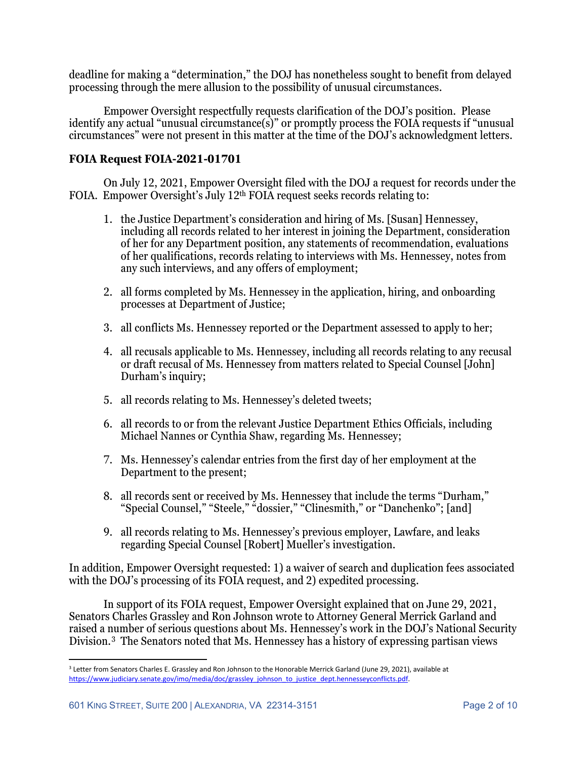deadline for making a "determination," the DOJ has nonetheless sought to benefit from delayed processing through the mere allusion to the possibility of unusual circumstances.

Empower Oversight respectfully requests clarification of the DOJ's position. Please identify any actual "unusual circumstance(s)" or promptly process the FOIA requests if "unusual circumstances" were not present in this matter at the time of the DOJ's acknowledgment letters.

# **FOIA Request FOIA-2021-01701**

On July 12, 2021, Empower Oversight filed with the DOJ a request for records under the FOIA. Empower Oversight's July 12th FOIA request seeks records relating to:

- 1. the Justice Department's consideration and hiring of Ms. [Susan] Hennessey, including all records related to her interest in joining the Department, consideration of her for any Department position, any statements of recommendation, evaluations of her qualifications, records relating to interviews with Ms. Hennessey, notes from any such interviews, and any offers of employment;
- 2. all forms completed by Ms. Hennessey in the application, hiring, and onboarding processes at Department of Justice;
- 3. all conflicts Ms. Hennessey reported or the Department assessed to apply to her;
- 4. all recusals applicable to Ms. Hennessey, including all records relating to any recusal or draft recusal of Ms. Hennessey from matters related to Special Counsel [John] Durham's inquiry;
- 5. all records relating to Ms. Hennessey's deleted tweets;
- 6. all records to or from the relevant Justice Department Ethics Officials, including Michael Nannes or Cynthia Shaw, regarding Ms. Hennessey;
- 7. Ms. Hennessey's calendar entries from the first day of her employment at the Department to the present;
- 8. all records sent or received by Ms. Hennessey that include the terms "Durham," "Special Counsel," "Steele," "dossier," "Clinesmith," or "Danchenko"; [and]
- 9. all records relating to Ms. Hennessey's previous employer, Lawfare, and leaks regarding Special Counsel [Robert] Mueller's investigation.

In addition, Empower Oversight requested: 1) a waiver of search and duplication fees associated with the DOJ's processing of its FOIA request, and 2) expedited processing.

In support of its FOIA request, Empower Oversight explained that on June 29, 2021, Senators Charles Grassley and Ron Johnson wrote to Attorney General Merrick Garland and raised a number of serious questions about Ms. Hennessey's work in the DOJ's National Security Division.[3](#page-1-0) The Senators noted that Ms. Hennessey has a history of expressing partisan views

<span id="page-1-0"></span><sup>&</sup>lt;sup>3</sup> Letter from Senators Charles E. Grassley and Ron Johnson to the Honorable Merrick Garland (June 29, 2021), available at [https://www.judiciary.senate.gov/imo/media/doc/grassley\\_johnson\\_to\\_justice\\_dept.hennesseyconflicts.pdf.](https://www.judiciary.senate.gov/imo/media/doc/grassley_johnson_to_justice_dept.hennesseyconflicts.pdf)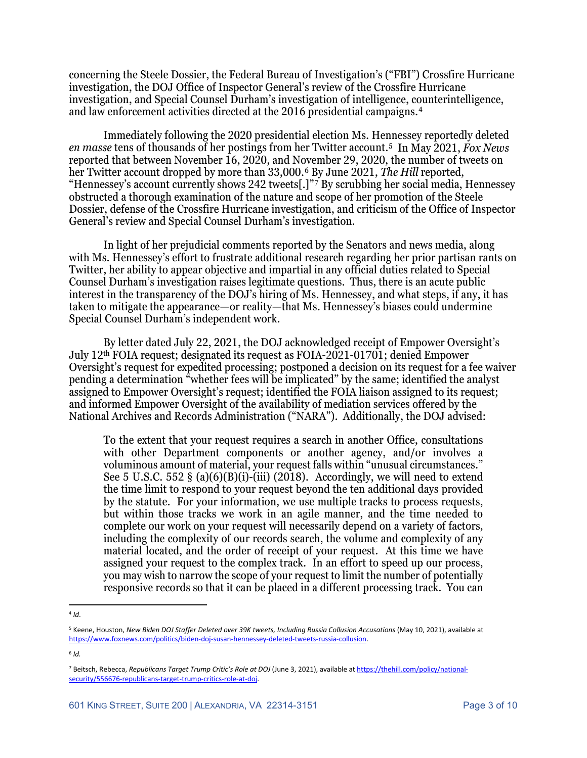concerning the Steele Dossier, the Federal Bureau of Investigation's ("FBI") Crossfire Hurricane investigation, the DOJ Office of Inspector General's review of the Crossfire Hurricane investigation, and Special Counsel Durham's investigation of intelligence, counterintelligence, and law enforcement activities directed at the 2016 presidential campaigns.[4](#page-2-0)

Immediately following the 2020 presidential election Ms. Hennessey reportedly deleted *en masse* tens of thousands of her postings from her Twitter account.[5](#page-2-1) In May 2021, *Fox News* reported that between November 16, 2020, and November 29, 2020, the number of tweets on her Twitter account dropped by more than 33,000.[6](#page-2-2) By June 2021, *The Hill* reported, "Hennessey's account currently shows 242 tweets[.]"[7](#page-2-3) By scrubbing her social media, Hennessey obstructed a thorough examination of the nature and scope of her promotion of the Steele Dossier, defense of the Crossfire Hurricane investigation, and criticism of the Office of Inspector General's review and Special Counsel Durham's investigation.

In light of her prejudicial comments reported by the Senators and news media, along with Ms. Hennessey's effort to frustrate additional research regarding her prior partisan rants on Twitter, her ability to appear objective and impartial in any official duties related to Special Counsel Durham's investigation raises legitimate questions. Thus, there is an acute public interest in the transparency of the DOJ's hiring of Ms. Hennessey, and what steps, if any, it has taken to mitigate the appearance—or reality—that Ms. Hennessey's biases could undermine Special Counsel Durham's independent work.

By letter dated July 22, 2021, the DOJ acknowledged receipt of Empower Oversight's July 12th FOIA request; designated its request as FOIA-2021-01701; denied Empower Oversight's request for expedited processing; postponed a decision on its request for a fee waiver pending a determination "whether fees will be implicated" by the same; identified the analyst assigned to Empower Oversight's request; identified the FOIA liaison assigned to its request; and informed Empower Oversight of the availability of mediation services offered by the National Archives and Records Administration ("NARA"). Additionally, the DOJ advised:

To the extent that your request requires a search in another Office, consultations with other Department components or another agency, and/or involves a voluminous amount of material, your request falls within "unusual circumstances." See 5 U.S.C. 552 § (a)(6)(B)(i)-(iii) (2018). Accordingly, we will need to extend the time limit to respond to your request beyond the ten additional days provided by the statute. For your information, we use multiple tracks to process requests, but within those tracks we work in an agile manner, and the time needed to complete our work on your request will necessarily depend on a variety of factors, including the complexity of our records search, the volume and complexity of any material located, and the order of receipt of your request. At this time we have assigned your request to the complex track. In an effort to speed up our process, you may wish to narrow the scope of your request to limit the number of potentially responsive records so that it can be placed in a different processing track. You can

<span id="page-2-2"></span><sup>6</sup> *Id.*

<span id="page-2-0"></span> $4$  *Id*.

<span id="page-2-1"></span><sup>5</sup> Keene, Houston, *New Biden DOJ Staffer Deleted over 39K tweets, Including Russia Collusion Accusations* (May 10, 2021), available at [https://www.foxnews.com/politics/biden-doj-susan-hennessey-deleted-tweets-russia-collusion.](https://www.foxnews.com/politics/biden-doj-susan-hennessey-deleted-tweets-russia-collusion) 

<span id="page-2-3"></span><sup>7</sup> Beitsch, Rebecca, *Republicans Target Trump Critic's Role at DOJ* (June 3, 2021), available a[t https://thehill.com/policy/national](https://thehill.com/policy/national-security/556676-republicans-target-trump-critics-role-at-doj)[security/556676-republicans-target-trump-critics-role-at-doj.](https://thehill.com/policy/national-security/556676-republicans-target-trump-critics-role-at-doj)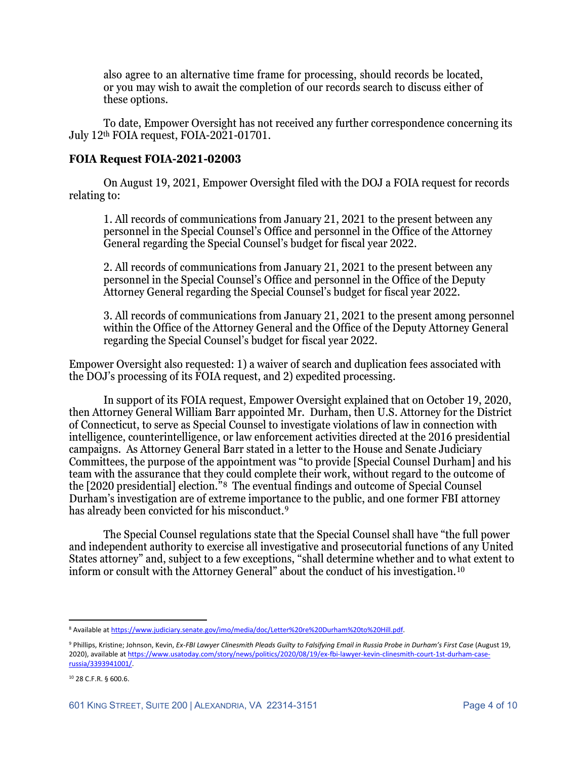also agree to an alternative time frame for processing, should records be located, or you may wish to await the completion of our records search to discuss either of these options.

To date, Empower Oversight has not received any further correspondence concerning its July 12th FOIA request, FOIA-2021-01701.

#### **FOIA Request FOIA-2021-02003**

On August 19, 2021, Empower Oversight filed with the DOJ a FOIA request for records relating to:

1. All records of communications from January 21, 2021 to the present between any personnel in the Special Counsel's Office and personnel in the Office of the Attorney General regarding the Special Counsel's budget for fiscal year 2022.

2. All records of communications from January 21, 2021 to the present between any personnel in the Special Counsel's Office and personnel in the Office of the Deputy Attorney General regarding the Special Counsel's budget for fiscal year 2022.

3. All records of communications from January 21, 2021 to the present among personnel within the Office of the Attorney General and the Office of the Deputy Attorney General regarding the Special Counsel's budget for fiscal year 2022.

Empower Oversight also requested: 1) a waiver of search and duplication fees associated with the DOJ's processing of its FOIA request, and 2) expedited processing.

In support of its FOIA request, Empower Oversight explained that on October 19, 2020, then Attorney General William Barr appointed Mr. Durham, then U.S. Attorney for the District of Connecticut, to serve as Special Counsel to investigate violations of law in connection with intelligence, counterintelligence, or law enforcement activities directed at the 2016 presidential campaigns. As Attorney General Barr stated in a letter to the House and Senate Judiciary Committees, the purpose of the appointment was "to provide [Special Counsel Durham] and his team with the assurance that they could complete their work, without regard to the outcome of the [2020 presidential] election."[8](#page-3-0) The eventual findings and outcome of Special Counsel Durham's investigation are of extreme importance to the public, and one former FBI attorney has already been convicted for his misconduct.<sup>[9](#page-3-1)</sup>

The Special Counsel regulations state that the Special Counsel shall have "the full power and independent authority to exercise all investigative and prosecutorial functions of any United States attorney" and, subject to a few exceptions, "shall determine whether and to what extent to inform or consult with the Attorney General" about the conduct of his investigation.[10](#page-3-2)

<span id="page-3-0"></span><sup>8</sup> Available a[t https://www.judiciary.senate.gov/imo/media/doc/Letter%20re%20Durham%20to%20Hill.pdf.](https://www.judiciary.senate.gov/imo/media/doc/Letter%20re%20Durham%20to%20Hill.pdf)

<span id="page-3-1"></span><sup>9</sup> Phillips, Kristine; Johnson, Kevin, *Ex-FBI Lawyer Clinesmith Pleads Guilty to Falsifying Email in Russia Probe in Durham's First Case* (August 19, 2020), available a[t https://www.usatoday.com/story/news/politics/2020/08/19/ex-fbi-lawyer-kevin-clinesmith-court-1st-durham-case](https://www.usatoday.com/story/news/politics/2020/08/19/ex-fbi-lawyer-kevin-clinesmith-court-1st-durham-case-russia/3393941001/)[russia/3393941001/.](https://www.usatoday.com/story/news/politics/2020/08/19/ex-fbi-lawyer-kevin-clinesmith-court-1st-durham-case-russia/3393941001/)

<span id="page-3-2"></span><sup>10</sup> 28 C.F.R. § 600.6.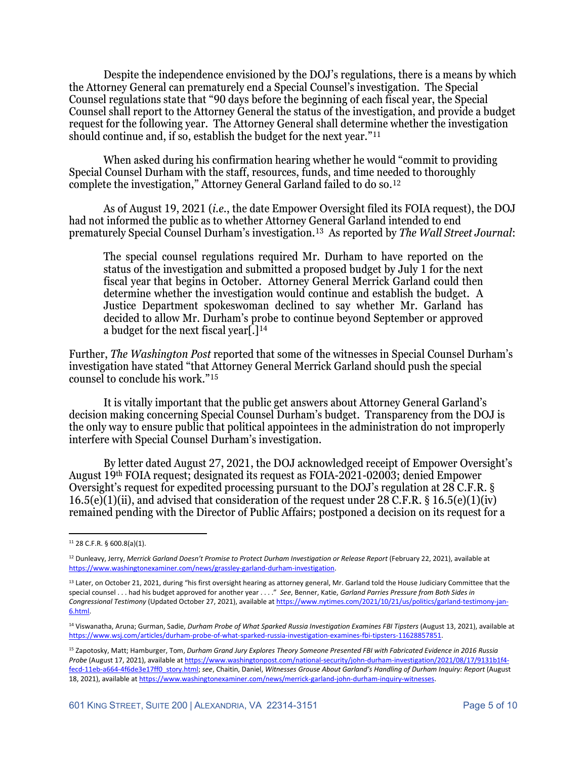Despite the independence envisioned by the DOJ's regulations, there is a means by which the Attorney General can prematurely end a Special Counsel's investigation. The Special Counsel regulations state that "90 days before the beginning of each fiscal year, the Special Counsel shall report to the Attorney General the status of the investigation, and provide a budget request for the following year. The Attorney General shall determine whether the investigation should continue and, if so, establish the budget for the next year."[11](#page-4-0)

When asked during his confirmation hearing whether he would "commit to providing Special Counsel Durham with the staff, resources, funds, and time needed to thoroughly complete the investigation," Attorney General Garland failed to do so.[12](#page-4-1)

As of August 19, 2021 (*i.e.*, the date Empower Oversight filed its FOIA request), the DOJ had not informed the public as to whether Attorney General Garland intended to end prematurely Special Counsel Durham's investigation.[13](#page-4-2) As reported by *The Wall Street Journal*:

The special counsel regulations required Mr. Durham to have reported on the status of the investigation and submitted a proposed budget by July 1 for the next fiscal year that begins in October. Attorney General Merrick Garland could then determine whether the investigation would continue and establish the budget. A Justice Department spokeswoman declined to say whether Mr. Garland has decided to allow Mr. Durham's probe to continue beyond September or approved a budget for the next fiscal year[.][14](#page-4-3)

Further, *The Washington Post* reported that some of the witnesses in Special Counsel Durham's investigation have stated "that Attorney General Merrick Garland should push the special counsel to conclude his work."[15](#page-4-4)

It is vitally important that the public get answers about Attorney General Garland's decision making concerning Special Counsel Durham's budget. Transparency from the DOJ is the only way to ensure public that political appointees in the administration do not improperly interfere with Special Counsel Durham's investigation.

By letter dated August 27, 2021, the DOJ acknowledged receipt of Empower Oversight's August 19th FOIA request; designated its request as FOIA-2021-02003; denied Empower Oversight's request for expedited processing pursuant to the DOJ's regulation at 28 C.F.R. § 16.5(e)(1)(ii), and advised that consideration of the request under 28 C.F.R. § 16.5(e)(1)(iv) remained pending with the Director of Public Affairs; postponed a decision on its request for a

<span id="page-4-0"></span><sup>11</sup> 28 C.F.R. § 600.8(a)(1).

<span id="page-4-1"></span><sup>12</sup> Dunleavy, Jerry, *Merrick Garland Doesn't Promise to Protect Durham Investigation or Release Report* (February 22, 2021), available at [https://www.washingtonexaminer.com/news/grassley-garland-durham-investigation.](https://www.washingtonexaminer.com/news/grassley-garland-durham-investigation)

<span id="page-4-2"></span><sup>&</sup>lt;sup>13</sup> Later, on October 21, 2021, during "his first oversight hearing as attorney general, Mr. Garland told the House Judiciary Committee that the special counsel . . . had his budget approved for another year . . . ." *See*, Benner, Katie, *Garland Parries Pressure from Both Sides in Congressional Testimony* (Updated October 27, 2021), available a[t https://www.nytimes.com/2021/10/21/us/politics/garland-testimony-jan-](https://www.nytimes.com/2021/10/21/us/politics/garland-testimony-jan-6.html)[6.html.](https://www.nytimes.com/2021/10/21/us/politics/garland-testimony-jan-6.html)

<span id="page-4-3"></span><sup>14</sup> Viswanatha, Aruna; Gurman, Sadie, *Durham Probe of What Sparked Russia Investigation Examines FBI Tipsters* (August 13, 2021), available at [https://www.wsj.com/articles/durham-probe-of-what-sparked-russia-investigation-examines-fbi-tipsters-11628857851.](https://www.wsj.com/articles/durham-probe-of-what-sparked-russia-investigation-examines-fbi-tipsters-11628857851)

<span id="page-4-4"></span><sup>15</sup> Zapotosky, Matt; Hamburger, Tom, *Durham Grand Jury Explores Theory Someone Presented FBI with Fabricated Evidence in 2016 Russia Probe* (August 17, 2021), available a[t https://www.washingtonpost.com/national-security/john-durham-investigation/2021/08/17/9131b1f4](https://www.washingtonpost.com/national-security/john-durham-investigation/2021/08/17/9131b1f4-fecd-11eb-a664-4f6de3e17ff0_story.html) [fecd-11eb-a664-4f6de3e17ff0\\_story.html;](https://www.washingtonpost.com/national-security/john-durham-investigation/2021/08/17/9131b1f4-fecd-11eb-a664-4f6de3e17ff0_story.html) *see*, Chaitin, Daniel, *Witnesses Grouse About Garland's Handling of Durham Inquiry: Report* (August 18, 2021), available a[t https://www.washingtonexaminer.com/news/merrick-garland-john-durham-inquiry-witnesses.](https://www.washingtonexaminer.com/news/merrick-garland-john-durham-inquiry-witnesses)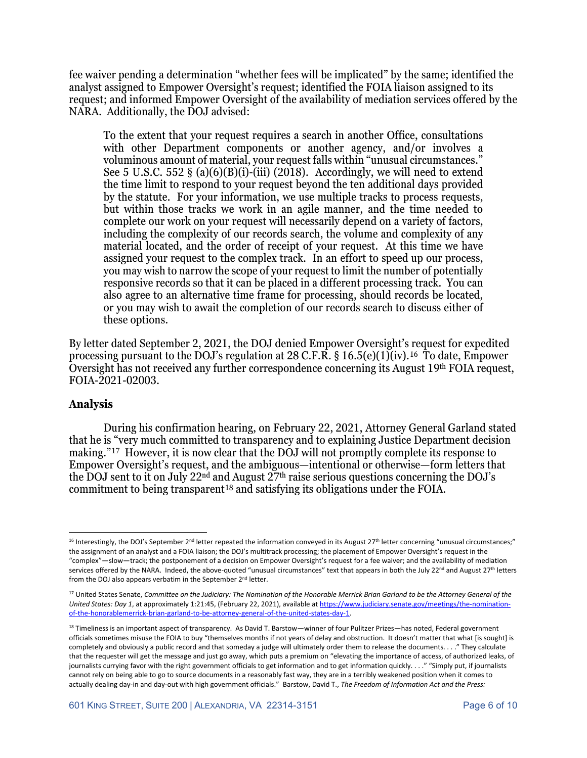fee waiver pending a determination "whether fees will be implicated" by the same; identified the analyst assigned to Empower Oversight's request; identified the FOIA liaison assigned to its request; and informed Empower Oversight of the availability of mediation services offered by the NARA. Additionally, the DOJ advised:

To the extent that your request requires a search in another Office, consultations with other Department components or another agency, and/or involves a voluminous amount of material, your request falls within "unusual circumstances." See 5 U.S.C. 552 § (a) $(6)(B)(i)$ -(iii) (2018). Accordingly, we will need to extend the time limit to respond to your request beyond the ten additional days provided by the statute. For your information, we use multiple tracks to process requests, but within those tracks we work in an agile manner, and the time needed to complete our work on your request will necessarily depend on a variety of factors, including the complexity of our records search, the volume and complexity of any material located, and the order of receipt of your request. At this time we have assigned your request to the complex track. In an effort to speed up our process, you may wish to narrow the scope of your request to limit the number of potentially responsive records so that it can be placed in a different processing track. You can also agree to an alternative time frame for processing, should records be located, or you may wish to await the completion of our records search to discuss either of these options.

By letter dated September 2, 2021, the DOJ denied Empower Oversight's request for expedited processing pursuant to the DOJ's regulation at 28 C.F.R. § [16](#page-5-0).5(e)(1)(iv).<sup>16</sup> To date, Empower Oversight has not received any further correspondence concerning its August 19th FOIA request, FOIA-2021-02003.

#### **Analysis**

During his confirmation hearing, on February 22, 2021, Attorney General Garland stated that he is "very much committed to transparency and to explaining Justice Department decision making."[17](#page-5-1) However, it is now clear that the DOJ will not promptly complete its response to Empower Oversight's request, and the ambiguous—intentional or otherwise—form letters that the DOJ sent to it on July 22nd and August 27th raise serious questions concerning the DOJ's commitment to being transparent<sup>[18](#page-5-2)</sup> and satisfying its obligations under the FOIA.

<span id="page-5-0"></span><sup>16</sup> Interestingly, the DOJ's September 2<sup>nd</sup> letter repeated the information conveyed in its August 27<sup>th</sup> letter concerning "unusual circumstances;" the assignment of an analyst and a FOIA liaison; the DOJ's multitrack processing; the placement of Empower Oversight's request in the "complex"—slow—track; the postponement of a decision on Empower Oversight's request for a fee waiver; and the availability of mediation services offered by the NARA. Indeed, the above-quoted "unusual circumstances" text that appears in both the July 22<sup>nd</sup> and August 27<sup>th</sup> letters from the DOJ also appears verbatim in the September 2<sup>nd</sup> letter.

<span id="page-5-1"></span><sup>17</sup> United States Senate, *Committee on the Judiciary: The Nomination of the Honorable Merrick Brian Garland to be the Attorney General of the United States: Day 1*, at approximately 1:21:45, (February 22, 2021), available at [https://www.judiciary.senate.gov/meetings/the-nomination](https://www.judiciary.senate.gov/meetings/the-nomination-of-the-honorablemerrick-brian-garland-to-be-attorney-general-of-the-united-states-day-1)[of-the-honorablemerrick-brian-garland-to-be-attorney-general-of-the-united-states-day-1.](https://www.judiciary.senate.gov/meetings/the-nomination-of-the-honorablemerrick-brian-garland-to-be-attorney-general-of-the-united-states-day-1)

<span id="page-5-2"></span><sup>&</sup>lt;sup>18</sup> Timeliness is an important aspect of transparency. As David T. Barstow—winner of four Pulitzer Prizes—has noted, Federal government officials sometimes misuse the FOIA to buy "themselves months if not years of delay and obstruction. It doesn't matter that what [is sought] is completely and obviously a public record and that someday a judge will ultimately order them to release the documents. . . ." They calculate that the requester will get the message and just go away, which puts a premium on "elevating the importance of access, of authorized leaks, of journalists currying favor with the right government officials to get information and to get information quickly. . . ." "Simply put, if journalists cannot rely on being able to go to source documents in a reasonably fast way, they are in a terribly weakened position when it comes to actually dealing day-in and day-out with high government officials." Barstow, David T., *The Freedom of Information Act and the Press:*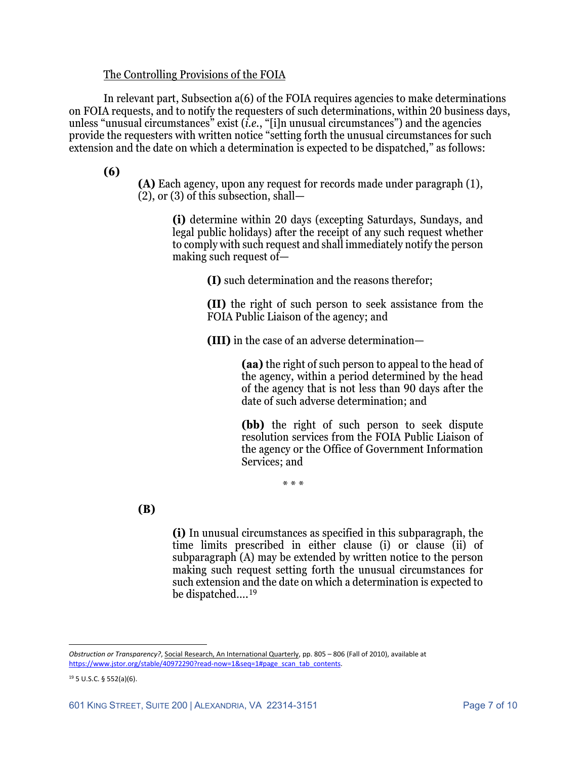#### The Controlling Provisions of the FOIA

In relevant part, Subsection a(6) of the FOIA requires agencies to make determinations on FOIA requests, and to notify the requesters of such determinations, within 20 business days, unless "unusual circumstances" exist (*i.e.*, "[i]n unusual circumstances") and the agencies provide the requesters with written notice "setting forth the unusual circumstances for such extension and the date on which a determination is expected to be dispatched," as follows:

**(6)**

**(A)** Each agency, upon any request for records made under paragraph (1), (2), or (3) of this subsection, shall—

**(i)** determine within 20 days (excepting Saturdays, Sundays, and legal public holidays) after the receipt of any such request whether to comply with such request and shall immediately notify the person making such request of—

**(I)** such determination and the reasons therefor;

**(II)** the right of such person to seek assistance from the FOIA Public Liaison of the agency; and

**(III)** in the case of an adverse determination—

**(aa)** the right of such person to appeal to the head of the agency, within a period determined by the head of the agency that is not less than 90 days after the date of such adverse determination; and

**(bb)** the right of such person to seek dispute resolution services from the FOIA Public Liaison of the agency or the Office of Government Information Services; and

\* \* \*

**(B)**

**(i)** In unusual circumstances as specified in this subparagraph, the time limits prescribed in either clause (i) or clause (ii) of subparagraph (A) may be extended by written notice to the person making such request setting forth the unusual circumstances for such extension and the date on which a determination is expected to be dispatched….[19](#page-6-0)

*Obstruction or Transparency?*, Social Research, An International Quarterly, pp. 805 – 806 (Fall of 2010), available at [https://www.jstor.org/stable/40972290?read-now=1&seq=1#page\\_scan\\_tab\\_contents.](https://www.jstor.org/stable/40972290?read-now=1&seq=1#page_scan_tab_contents)

<span id="page-6-0"></span><sup>19</sup> 5 U.S.C. § 552(a)(6).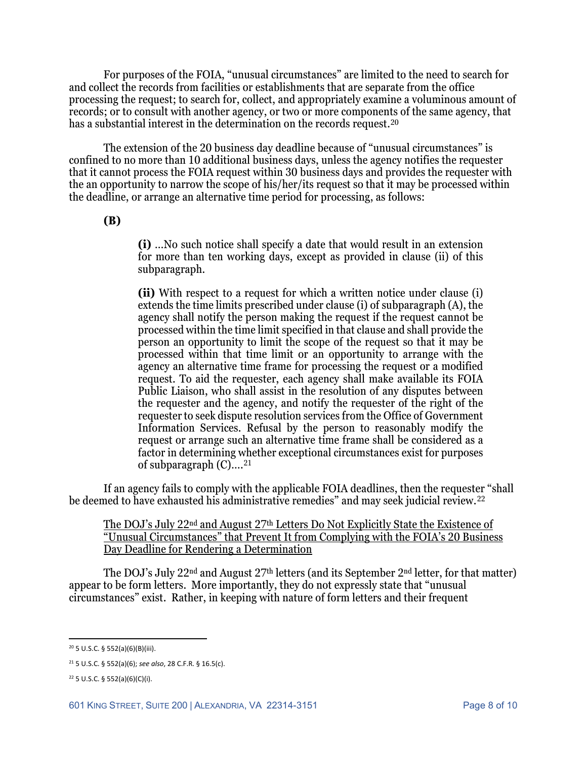For purposes of the FOIA, "unusual circumstances" are limited to the need to search for and collect the records from facilities or establishments that are separate from the office processing the request; to search for, collect, and appropriately examine a voluminous amount of records; or to consult with another agency, or two or more components of the same agency, that has a substantial interest in the determination on the records request.[20](#page-7-0)

The extension of the 20 business day deadline because of "unusual circumstances" is confined to no more than 10 additional business days, unless the agency notifies the requester that it cannot process the FOIA request within 30 business days and provides the requester with the an opportunity to narrow the scope of his/her/its request so that it may be processed within the deadline, or arrange an alternative time period for processing, as follows:

# **(B)**

**(i)** …No such notice shall specify a date that would result in an extension for more than ten working days, except as provided in clause (ii) of this subparagraph.

**(ii)** With respect to a request for which a written notice under clause (i) extends the time limits prescribed under clause (i) of subparagraph (A), the agency shall notify the person making the request if the request cannot be processed within the time limit specified in that clause and shall provide the person an opportunity to limit the scope of the request so that it may be processed within that time limit or an opportunity to arrange with the agency an alternative time frame for processing the request or a modified request. To aid the requester, each agency shall make available its FOIA Public Liaison, who shall assist in the resolution of any disputes between the requester and the agency, and notify the requester of the right of the requester to seek dispute resolution services from the Office of Government Information Services. Refusal by the person to reasonably modify the request or arrange such an alternative time frame shall be considered as a factor in determining whether exceptional circumstances exist for purposes of subparagraph  $(C)$ ....<sup>[21](#page-7-1)</sup>

If an agency fails to comply with the applicable FOIA deadlines, then the requester "shall be deemed to have exhausted his administrative remedies" and may seek judicial review.[22](#page-7-2)

The DOJ's July 22<sup>nd</sup> and August 27<sup>th</sup> Letters Do Not Explicitly State the Existence of "Unusual Circumstances" that Prevent It from Complying with the FOIA's 20 Business Day Deadline for Rendering a Determination

The DOJ's July 22<sup>nd</sup> and August 27<sup>th</sup> letters (and its September 2<sup>nd</sup> letter, for that matter) appear to be form letters. More importantly, they do not expressly state that "unusual circumstances" exist. Rather, in keeping with nature of form letters and their frequent

<span id="page-7-0"></span><sup>20</sup> 5 U.S.C. § 552(a)(6)(B)(iii).

<span id="page-7-1"></span><sup>21</sup> 5 U.S.C. § 552(a)(6); *see also*, 28 C.F.R. § 16.5(c).

<span id="page-7-2"></span><sup>22</sup> 5 U.S.C. § 552(a)(6)(C)(i).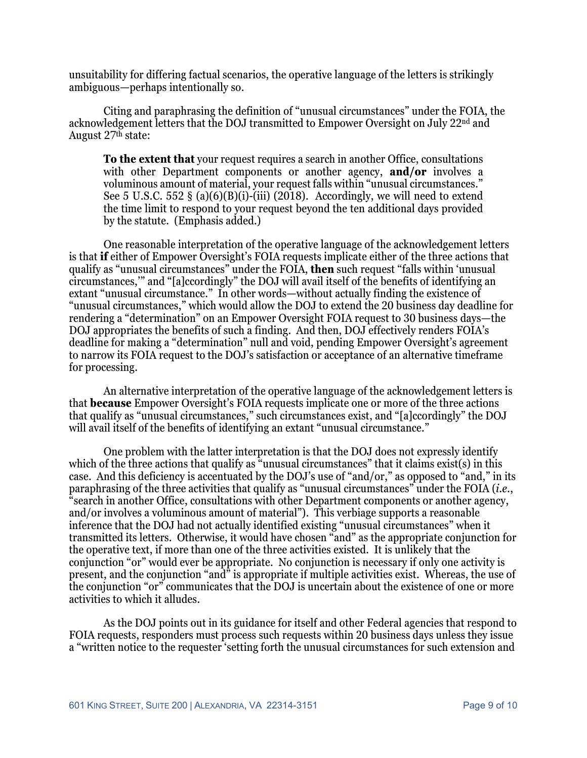unsuitability for differing factual scenarios, the operative language of the letters is strikingly ambiguous—perhaps intentionally so.

Citing and paraphrasing the definition of "unusual circumstances" under the FOIA, the acknowledgement letters that the DOJ transmitted to Empower Oversight on July 22nd and August 27th state:

**To the extent that** your request requires a search in another Office, consultations with other Department components or another agency, **and/or** involves a voluminous amount of material, your request falls within "unusual circumstances." See 5 U.S.C. 552 § (a) $(6)(B)(i)$ -(iii) (2018). Accordingly, we will need to extend the time limit to respond to your request beyond the ten additional days provided by the statute. (Emphasis added.)

One reasonable interpretation of the operative language of the acknowledgement letters is that **if** either of Empower Oversight's FOIA requests implicate either of the three actions that qualify as "unusual circumstances" under the FOIA, **then** such request "falls within 'unusual circumstances,'" and "[a]ccordingly" the DOJ will avail itself of the benefits of identifying an extant "unusual circumstance." In other words—without actually finding the existence of "unusual circumstances," which would allow the DOJ to extend the 20 business day deadline for rendering a "determination" on an Empower Oversight FOIA request to 30 business days—the DOJ appropriates the benefits of such a finding. And then, DOJ effectively renders FOIA's deadline for making a "determination" null and void, pending Empower Oversight's agreement to narrow its FOIA request to the DOJ's satisfaction or acceptance of an alternative timeframe for processing.

An alternative interpretation of the operative language of the acknowledgement letters is that **because** Empower Oversight's FOIA requests implicate one or more of the three actions that qualify as "unusual circumstances," such circumstances exist, and "[a]ccordingly" the DOJ will avail itself of the benefits of identifying an extant "unusual circumstance."

One problem with the latter interpretation is that the DOJ does not expressly identify which of the three actions that qualify as "unusual circumstances" that it claims exist(s) in this case. And this deficiency is accentuated by the DOJ's use of "and/or," as opposed to "and," in its paraphrasing of the three activities that qualify as "unusual circumstances" under the FOIA (*i.e.*, "search in another Office, consultations with other Department components or another agency, and/or involves a voluminous amount of material"). This verbiage supports a reasonable inference that the DOJ had not actually identified existing "unusual circumstances" when it transmitted its letters. Otherwise, it would have chosen "and" as the appropriate conjunction for the operative text, if more than one of the three activities existed. It is unlikely that the conjunction "or" would ever be appropriate. No conjunction is necessary if only one activity is present, and the conjunction "and" is appropriate if multiple activities exist. Whereas, the use of the conjunction "or" communicates that the DOJ is uncertain about the existence of one or more activities to which it alludes.

As the DOJ points out in its guidance for itself and other Federal agencies that respond to FOIA requests, responders must process such requests within 20 business days unless they issue a "written notice to the requester 'setting forth the unusual circumstances for such extension and